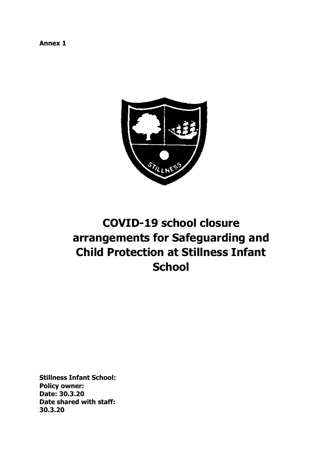**Annex 1**



# **COVID-19 school closure arrangements for Safeguarding and Child Protection at Stillness Infant School**

**Stillness Infant School: Policy owner: Date: 30.3.20 Date shared with staff: 30.3.20**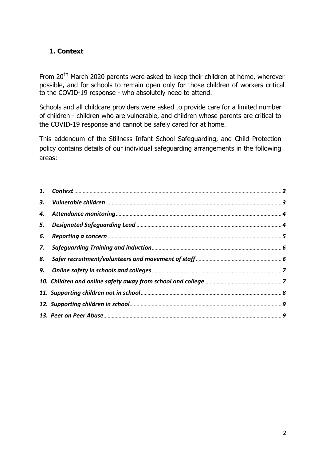# **1. Context**

From 20<sup>th</sup> March 2020 parents were asked to keep their children at home, wherever possible, and for schools to remain open only for those children of workers critical to the COVID-19 response - who absolutely need to attend.

Schools and all childcare providers were asked to provide care for a limited number of children - children who are vulnerable, and children whose parents are critical to the COVID-19 response and cannot be safely cared for at home.

This addendum of the Stillness Infant School Safeguarding, and Child Protection policy contains details of our individual safeguarding arrangements in the following areas:

| 3. |  |
|----|--|
| 4. |  |
| 5. |  |
| 6. |  |
| 7. |  |
| 8. |  |
|    |  |
|    |  |
|    |  |
|    |  |
|    |  |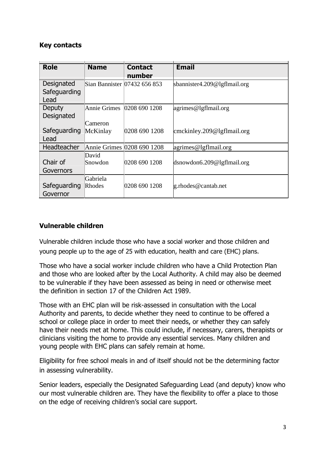#### **Key contacts**

|              |              |                              | <b>Email</b>                        |
|--------------|--------------|------------------------------|-------------------------------------|
| <b>Role</b>  | <b>Name</b>  | <b>Contact</b>               |                                     |
|              |              | number                       |                                     |
| Designated   |              | Sian Bannister 07432 656 853 | sbannister4.209@lgflmail.org        |
| Safeguarding |              |                              |                                     |
| Lead         |              |                              |                                     |
| Deputy       | Annie Grimes | 0208 690 1208                | $\alpha$ grimes@lgflmail.org        |
| Designated   |              |                              |                                     |
|              | Cameron      |                              |                                     |
| Safeguarding | McKinlay     | 0208 690 1208                | $\text{cmckinley.209@lgffmail.org}$ |
| Lead         |              |                              |                                     |
| Headteacher  |              | Annie Grimes 0208 690 1208   | $\sqrt{agrimes@lgflmail.org}$       |
|              | David        |                              |                                     |
| Chair of     | Snowdon      | 0208 690 1208                | $d$ snowdon6.209@lgflmail.org       |
| Governors    |              |                              |                                     |
|              | Gabriela     |                              |                                     |
| Safeguarding | Rhodes       | 0208 690 1208                | g.rhodes@cantab.net                 |
| Governor     |              |                              |                                     |

## **Vulnerable children**

Vulnerable children include those who have a social worker and those children and young people up to the age of 25 with education, health and care (EHC) plans.

Those who have a social worker include children who have a Child Protection Plan and those who are looked after by the Local Authority. A child may also be deemed to be vulnerable if they have been assessed as being in need or otherwise meet the definition in section 17 of the Children Act 1989.

Those with an EHC plan will be risk-assessed in consultation with the Local Authority and parents, to decide whether they need to continue to be offered a school or college place in order to meet their needs, or whether they can safely have their needs met at home. This could include, if necessary, carers, therapists or clinicians visiting the home to provide any essential services. Many children and young people with EHC plans can safely remain at home.

Eligibility for free school meals in and of itself should not be the determining factor in assessing vulnerability.

Senior leaders, especially the Designated Safeguarding Lead (and deputy) know who our most vulnerable children are. They have the flexibility to offer a place to those on the edge of receiving children's social care support.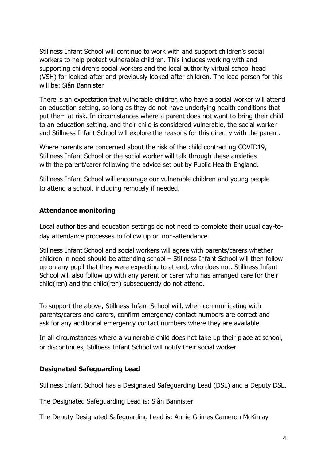Stillness Infant School will continue to work with and support children's social workers to help protect vulnerable children. This includes working with and supporting children's social workers and the local authority virtual school head (VSH) for looked-after and previously looked-after children. The lead person for this will be: Siân Bannister

There is an expectation that vulnerable children who have a social worker will attend an education setting, so long as they do not have underlying health conditions that put them at risk. In circumstances where a parent does not want to bring their child to an education setting, and their child is considered vulnerable, the social worker and Stillness Infant School will explore the reasons for this directly with the parent.

Where parents are concerned about the risk of the child contracting COVID19, Stillness Infant School or the social worker will talk through these anxieties with the parent/carer following the advice set out by Public Health England.

Stillness Infant School will encourage our vulnerable children and young people to attend a school, including remotely if needed.

# **Attendance monitoring**

Local authorities and education settings do not need to complete their usual day-today attendance processes to follow up on non-attendance.

Stillness Infant School and social workers will agree with parents/carers whether children in need should be attending school – Stillness Infant School will then follow up on any pupil that they were expecting to attend, who does not. Stillness Infant School will also follow up with any parent or carer who has arranged care for their child(ren) and the child(ren) subsequently do not attend.

To support the above, Stillness Infant School will, when communicating with parents/carers and carers, confirm emergency contact numbers are correct and ask for any additional emergency contact numbers where they are available.

In all circumstances where a vulnerable child does not take up their place at school, or discontinues, Stillness Infant School will notify their social worker.

## **Designated Safeguarding Lead**

Stillness Infant School has a Designated Safeguarding Lead (DSL) and a Deputy DSL.

The Designated Safeguarding Lead is: Siân Bannister

The Deputy Designated Safeguarding Lead is: Annie Grimes Cameron McKinlay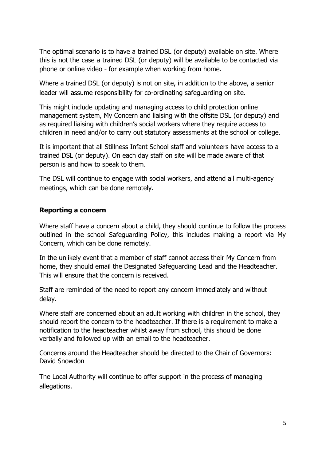The optimal scenario is to have a trained DSL (or deputy) available on site. Where this is not the case a trained DSL (or deputy) will be available to be contacted via phone or online video - for example when working from home.

Where a trained DSL (or deputy) is not on site, in addition to the above, a senior leader will assume responsibility for co-ordinating safeguarding on site.

This might include updating and managing access to child protection online management system, My Concern and liaising with the offsite DSL (or deputy) and as required liaising with children's social workers where they require access to children in need and/or to carry out statutory assessments at the school or college.

It is important that all Stillness Infant School staff and volunteers have access to a trained DSL (or deputy). On each day staff on site will be made aware of that person is and how to speak to them.

The DSL will continue to engage with social workers, and attend all multi-agency meetings, which can be done remotely.

## **Reporting a concern**

Where staff have a concern about a child, they should continue to follow the process outlined in the school Safeguarding Policy, this includes making a report via My Concern, which can be done remotely.

In the unlikely event that a member of staff cannot access their My Concern from home, they should email the Designated Safeguarding Lead and the Headteacher. This will ensure that the concern is received.

Staff are reminded of the need to report any concern immediately and without delay.

Where staff are concerned about an adult working with children in the school, they should report the concern to the headteacher. If there is a requirement to make a notification to the headteacher whilst away from school, this should be done verbally and followed up with an email to the headteacher.

Concerns around the Headteacher should be directed to the Chair of Governors: David Snowdon

The Local Authority will continue to offer support in the process of managing allegations.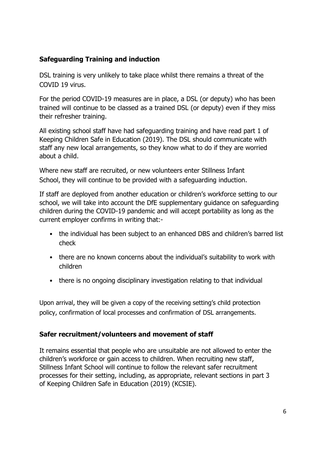# **Safeguarding Training and induction**

DSL training is very unlikely to take place whilst there remains a threat of the COVID 19 virus.

For the period COVID-19 measures are in place, a DSL (or deputy) who has been trained will continue to be classed as a trained DSL (or deputy) even if they miss their refresher training.

All existing school staff have had safeguarding training and have read part 1 of Keeping Children Safe in Education (2019). The DSL should communicate with staff any new local arrangements, so they know what to do if they are worried about a child.

Where new staff are recruited, or new volunteers enter Stillness Infant School, they will continue to be provided with a safeguarding induction.

If staff are deployed from another education or children's workforce setting to our school, we will take into account the DfE supplementary guidance on safeguarding children during the COVID-19 pandemic and will accept portability as long as the current employer confirms in writing that:-

- the individual has been subject to an enhanced DBS and children's barred list check
- there are no known concerns about the individual's suitability to work with children
- there is no ongoing disciplinary investigation relating to that individual

Upon arrival, they will be given a copy of the receiving setting's child protection policy, confirmation of local processes and confirmation of DSL arrangements.

## **Safer recruitment/volunteers and movement of staff**

It remains essential that people who are unsuitable are not allowed to enter the children's workforce or gain access to children. When recruiting new staff, Stillness Infant School will continue to follow the relevant safer recruitment processes for their setting, including, as appropriate, relevant sections in part 3 of Keeping Children Safe in Education (2019) (KCSIE).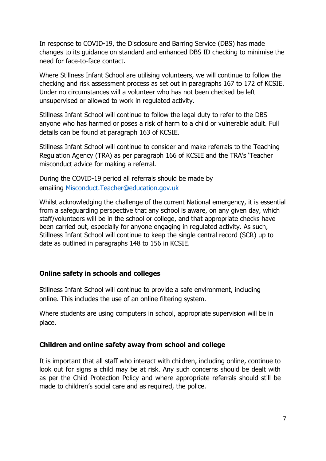In response to COVID-19, the Disclosure and Barring Service (DBS) has made changes to its guidance on standard and enhanced DBS ID checking to minimise the need for face-to-face contact.

Where Stillness Infant School are utilising volunteers, we will continue to follow the checking and risk assessment process as set out in paragraphs 167 to 172 of KCSIE. Under no circumstances will a volunteer who has not been checked be left unsupervised or allowed to work in regulated activity.

Stillness Infant School will continue to follow the legal duty to refer to the DBS anyone who has harmed or poses a risk of harm to a child or vulnerable adult. Full details can be found at paragraph 163 of KCSIE.

Stillness Infant School will continue to consider and make referrals to the Teaching Regulation Agency (TRA) as per paragraph 166 of KCSIE and the TRA's 'Teacher misconduct advice for making a referral.

During the COVID-19 period all referrals should be made by emailing Misconduct.Teacher@education.gov.uk

Whilst acknowledging the challenge of the current National emergency, it is essential from a safeguarding perspective that any school is aware, on any given day, which staff/volunteers will be in the school or college, and that appropriate checks have been carried out, especially for anyone engaging in regulated activity. As such, Stillness Infant School will continue to keep the single central record (SCR) up to date as outlined in paragraphs 148 to 156 in KCSIE.

#### **Online safety in schools and colleges**

Stillness Infant School will continue to provide a safe environment, including online. This includes the use of an online filtering system.

Where students are using computers in school, appropriate supervision will be in place.

#### **Children and online safety away from school and college**

It is important that all staff who interact with children, including online, continue to look out for signs a child may be at risk. Any such concerns should be dealt with as per the Child Protection Policy and where appropriate referrals should still be made to children's social care and as required, the police.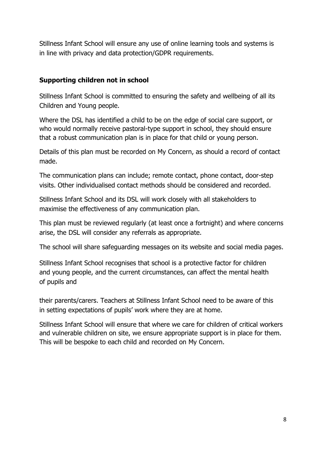Stillness Infant School will ensure any use of online learning tools and systems is in line with privacy and data protection/GDPR requirements.

# **Supporting children not in school**

Stillness Infant School is committed to ensuring the safety and wellbeing of all its Children and Young people.

Where the DSL has identified a child to be on the edge of social care support, or who would normally receive pastoral-type support in school, they should ensure that a robust communication plan is in place for that child or young person.

Details of this plan must be recorded on My Concern, as should a record of contact made.

The communication plans can include; remote contact, phone contact, door-step visits. Other individualised contact methods should be considered and recorded.

Stillness Infant School and its DSL will work closely with all stakeholders to maximise the effectiveness of any communication plan.

This plan must be reviewed regularly (at least once a fortnight) and where concerns arise, the DSL will consider any referrals as appropriate.

The school will share safeguarding messages on its website and social media pages.

Stillness Infant School recognises that school is a protective factor for children and young people, and the current circumstances, can affect the mental health of pupils and

their parents/carers. Teachers at Stillness Infant School need to be aware of this in setting expectations of pupils' work where they are at home.

Stillness Infant School will ensure that where we care for children of critical workers and vulnerable children on site, we ensure appropriate support is in place for them. This will be bespoke to each child and recorded on My Concern.